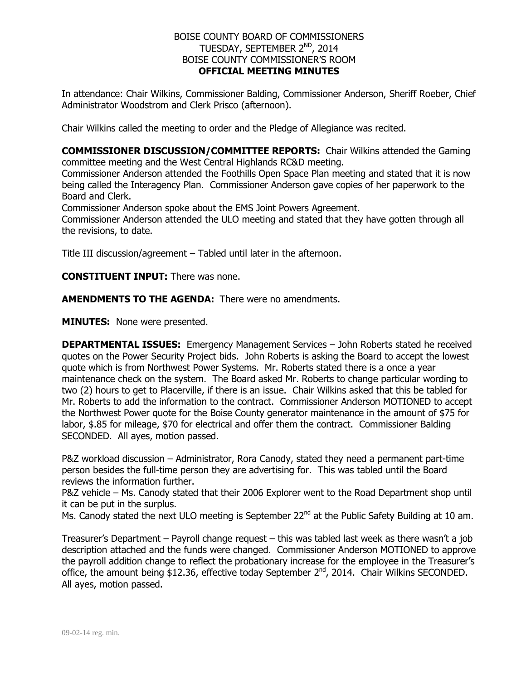## BOISE COUNTY BOARD OF COMMISSIONERS TUESDAY, SEPTEMBER 2<sup>ND</sup>, 2014 BOISE COUNTY COMMISSIONER'S ROOM **OFFICIAL MEETING MINUTES**

In attendance: Chair Wilkins, Commissioner Balding, Commissioner Anderson, Sheriff Roeber, Chief Administrator Woodstrom and Clerk Prisco (afternoon).

Chair Wilkins called the meeting to order and the Pledge of Allegiance was recited.

**COMMISSIONER DISCUSSION/COMMITTEE REPORTS:** Chair Wilkins attended the Gaming committee meeting and the West Central Highlands RC&D meeting.

Commissioner Anderson attended the Foothills Open Space Plan meeting and stated that it is now being called the Interagency Plan. Commissioner Anderson gave copies of her paperwork to the Board and Clerk.

Commissioner Anderson spoke about the EMS Joint Powers Agreement.

Commissioner Anderson attended the ULO meeting and stated that they have gotten through all the revisions, to date.

Title III discussion/agreement – Tabled until later in the afternoon.

**CONSTITUENT INPUT:** There was none.

**AMENDMENTS TO THE AGENDA:** There were no amendments.

**MINUTES:** None were presented.

**DEPARTMENTAL ISSUES:** Emergency Management Services – John Roberts stated he received quotes on the Power Security Project bids. John Roberts is asking the Board to accept the lowest quote which is from Northwest Power Systems. Mr. Roberts stated there is a once a year maintenance check on the system. The Board asked Mr. Roberts to change particular wording to two (2) hours to get to Placerville, if there is an issue. Chair Wilkins asked that this be tabled for Mr. Roberts to add the information to the contract. Commissioner Anderson MOTIONED to accept the Northwest Power quote for the Boise County generator maintenance in the amount of \$75 for labor, \$.85 for mileage, \$70 for electrical and offer them the contract. Commissioner Balding SECONDED. All ayes, motion passed.

P&Z workload discussion – Administrator, Rora Canody, stated they need a permanent part-time person besides the full-time person they are advertising for. This was tabled until the Board reviews the information further.

P&Z vehicle – Ms. Canody stated that their 2006 Explorer went to the Road Department shop until it can be put in the surplus.

Ms. Canody stated the next ULO meeting is September 22<sup>nd</sup> at the Public Safety Building at 10 am.

Treasurer's Department – Payroll change request – this was tabled last week as there wasn't a job description attached and the funds were changed. Commissioner Anderson MOTIONED to approve the payroll addition change to reflect the probationary increase for the employee in the Treasurer's office, the amount being \$12.36, effective today September 2<sup>nd</sup>, 2014. Chair Wilkins SECONDED. All ayes, motion passed.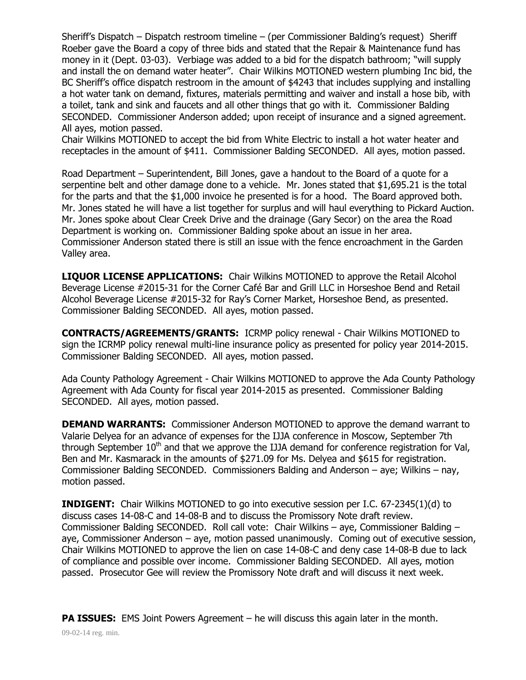Sheriff's Dispatch – Dispatch restroom timeline – (per Commissioner Balding's request) Sheriff Roeber gave the Board a copy of three bids and stated that the Repair & Maintenance fund has money in it (Dept. 03-03). Verbiage was added to a bid for the dispatch bathroom; "will supply and install the on demand water heater". Chair Wilkins MOTIONED western plumbing Inc bid, the BC Sheriff's office dispatch restroom in the amount of \$4243 that includes supplying and installing a hot water tank on demand, fixtures, materials permitting and waiver and install a hose bib, with a toilet, tank and sink and faucets and all other things that go with it. Commissioner Balding SECONDED. Commissioner Anderson added; upon receipt of insurance and a signed agreement. All ayes, motion passed.

Chair Wilkins MOTIONED to accept the bid from White Electric to install a hot water heater and receptacles in the amount of \$411. Commissioner Balding SECONDED. All ayes, motion passed.

Road Department – Superintendent, Bill Jones, gave a handout to the Board of a quote for a serpentine belt and other damage done to a vehicle. Mr. Jones stated that \$1,695.21 is the total for the parts and that the \$1,000 invoice he presented is for a hood. The Board approved both. Mr. Jones stated he will have a list together for surplus and will haul everything to Pickard Auction. Mr. Jones spoke about Clear Creek Drive and the drainage (Gary Secor) on the area the Road Department is working on. Commissioner Balding spoke about an issue in her area. Commissioner Anderson stated there is still an issue with the fence encroachment in the Garden Valley area.

**LIQUOR LICENSE APPLICATIONS:** Chair Wilkins MOTIONED to approve the Retail Alcohol Beverage License #2015-31 for the Corner Café Bar and Grill LLC in Horseshoe Bend and Retail Alcohol Beverage License #2015-32 for Ray's Corner Market, Horseshoe Bend, as presented. Commissioner Balding SECONDED. All ayes, motion passed.

**CONTRACTS/AGREEMENTS/GRANTS:** ICRMP policy renewal - Chair Wilkins MOTIONED to sign the ICRMP policy renewal multi-line insurance policy as presented for policy year 2014-2015. Commissioner Balding SECONDED. All ayes, motion passed.

Ada County Pathology Agreement - Chair Wilkins MOTIONED to approve the Ada County Pathology Agreement with Ada County for fiscal year 2014-2015 as presented. Commissioner Balding SECONDED. All ayes, motion passed.

**DEMAND WARRANTS:** Commissioner Anderson MOTIONED to approve the demand warrant to Valarie Delyea for an advance of expenses for the IJJA conference in Moscow, September 7th through September  $10<sup>th</sup>$  and that we approve the IJJA demand for conference registration for Val, Ben and Mr. Kasmarack in the amounts of \$271.09 for Ms. Delyea and \$615 for registration. Commissioner Balding SECONDED. Commissioners Balding and Anderson – aye; Wilkins – nay, motion passed.

**INDIGENT:** Chair Wilkins MOTIONED to go into executive session per I.C. 67-2345(1)(d) to discuss cases 14-08-C and 14-08-B and to discuss the Promissory Note draft review. Commissioner Balding SECONDED. Roll call vote: Chair Wilkins – aye, Commissioner Balding – aye, Commissioner Anderson – aye, motion passed unanimously. Coming out of executive session, Chair Wilkins MOTIONED to approve the lien on case 14-08-C and deny case 14-08-B due to lack of compliance and possible over income. Commissioner Balding SECONDED. All ayes, motion passed. Prosecutor Gee will review the Promissory Note draft and will discuss it next week.

**PA ISSUES:** EMS Joint Powers Agreement – he will discuss this again later in the month.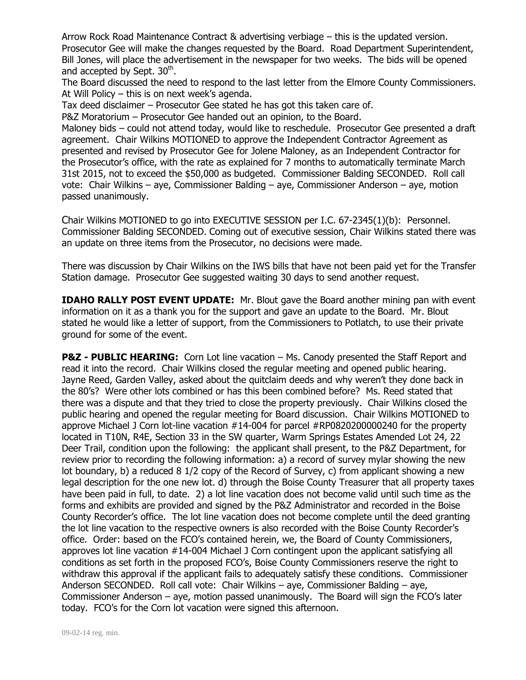Arrow Rock Road Maintenance Contract & advertising verbiage – this is the updated version. Prosecutor Gee will make the changes requested by the Board. Road Department Superintendent, Bill Jones, will place the advertisement in the newspaper for two weeks. The bids will be opened and accepted by Sept.  $30<sup>th</sup>$ .

The Board discussed the need to respond to the last letter from the Elmore County Commissioners. At Will Policy – this is on next week's agenda.

Tax deed disclaimer – Prosecutor Gee stated he has got this taken care of.

P&Z Moratorium – Prosecutor Gee handed out an opinion, to the Board.

Maloney bids – could not attend today, would like to reschedule. Prosecutor Gee presented a draft agreement. Chair Wilkins MOTIONED to approve the Independent Contractor Agreement as presented and revised by Prosecutor Gee for Jolene Maloney, as an Independent Contractor for the Prosecutor's office, with the rate as explained for 7 months to automatically terminate March 31st 2015, not to exceed the \$50,000 as budgeted. Commissioner Balding SECONDED. Roll call vote: Chair Wilkins – aye, Commissioner Balding – aye, Commissioner Anderson – aye, motion passed unanimously.

Chair Wilkins MOTIONED to go into EXECUTIVE SESSION per I.C. 67-2345(1)(b): Personnel. Commissioner Balding SECONDED. Coming out of executive session, Chair Wilkins stated there was an update on three items from the Prosecutor, no decisions were made.

There was discussion by Chair Wilkins on the IWS bills that have not been paid yet for the Transfer Station damage. Prosecutor Gee suggested waiting 30 days to send another request.

**IDAHO RALLY POST EVENT UPDATE:** Mr. Blout gave the Board another mining pan with event information on it as a thank you for the support and gave an update to the Board. Mr. Blout stated he would like a letter of support, from the Commissioners to Potlatch, to use their private ground for some of the event.

**P&Z - PUBLIC HEARING:** Corn Lot line vacation – Ms. Canody presented the Staff Report and read it into the record. Chair Wilkins closed the regular meeting and opened public hearing. Jayne Reed, Garden Valley, asked about the quitclaim deeds and why weren't they done back in the 80's? Were other lots combined or has this been combined before? Ms. Reed stated that there was a dispute and that they tried to close the property previously. Chair Wilkins closed the public hearing and opened the regular meeting for Board discussion. Chair Wilkins MOTIONED to approve Michael J Corn lot-line vacation #14-004 for parcel #RP0820200000240 for the property located in T10N, R4E, Section 33 in the SW quarter, Warm Springs Estates Amended Lot 24, 22 Deer Trail, condition upon the following: the applicant shall present, to the P&Z Department, for review prior to recording the following information: a) a record of survey mylar showing the new lot boundary, b) a reduced 8 1/2 copy of the Record of Survey, c) from applicant showing a new legal description for the one new lot. d) through the Boise County Treasurer that all property taxes have been paid in full, to date. 2) a lot line vacation does not become valid until such time as the forms and exhibits are provided and signed by the P&Z Administrator and recorded in the Boise County Recorder's office. The lot line vacation does not become complete until the deed granting the lot line vacation to the respective owners is also recorded with the Boise County Recorder's office. Order: based on the FCO's contained herein, we, the Board of County Commissioners, approves lot line vacation #14-004 Michael J Corn contingent upon the applicant satisfying all conditions as set forth in the proposed FCO's, Boise County Commissioners reserve the right to withdraw this approval if the applicant fails to adequately satisfy these conditions. Commissioner Anderson SECONDED. Roll call vote: Chair Wilkins – aye, Commissioner Balding – aye, Commissioner Anderson – aye, motion passed unanimously. The Board will sign the FCO's later today. FCO's for the Corn lot vacation were signed this afternoon.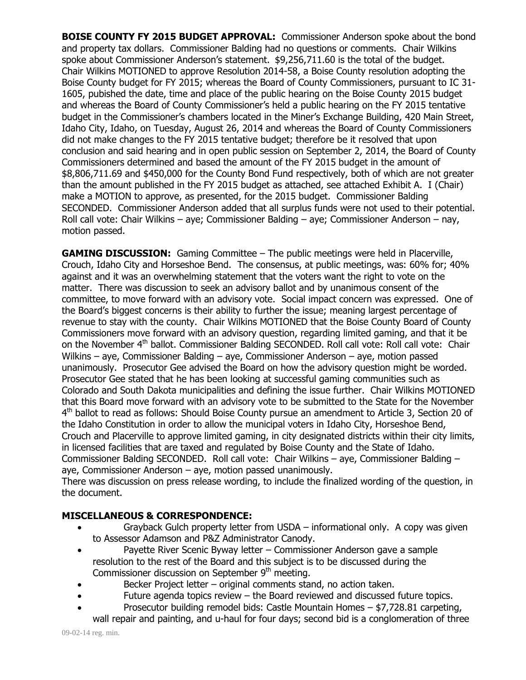**BOISE COUNTY FY 2015 BUDGET APPROVAL:** Commissioner Anderson spoke about the bond and property tax dollars. Commissioner Balding had no questions or comments. Chair Wilkins spoke about Commissioner Anderson's statement. \$9,256,711.60 is the total of the budget. Chair Wilkins MOTIONED to approve Resolution 2014-58, a Boise County resolution adopting the Boise County budget for FY 2015; whereas the Board of County Commissioners, pursuant to IC 31- 1605, pubished the date, time and place of the public hearing on the Boise County 2015 budget and whereas the Board of County Commissioner's held a public hearing on the FY 2015 tentative budget in the Commissioner's chambers located in the Miner's Exchange Building, 420 Main Street, Idaho City, Idaho, on Tuesday, August 26, 2014 and whereas the Board of County Commissioners did not make changes to the FY 2015 tentative budget; therefore be it resolved that upon conclusion and said hearing and in open public session on September 2, 2014, the Board of County Commissioners determined and based the amount of the FY 2015 budget in the amount of \$8,806,711.69 and \$450,000 for the County Bond Fund respectively, both of which are not greater than the amount published in the FY 2015 budget as attached, see attached Exhibit A. I (Chair) make a MOTION to approve, as presented, for the 2015 budget. Commissioner Balding SECONDED. Commissioner Anderson added that all surplus funds were not used to their potential. Roll call vote: Chair Wilkins – aye; Commissioner Balding – aye; Commissioner Anderson – nay, motion passed.

**GAMING DISCUSSION:** Gaming Committee – The public meetings were held in Placerville, Crouch, Idaho City and Horseshoe Bend. The consensus, at public meetings, was: 60% for; 40% against and it was an overwhelming statement that the voters want the right to vote on the matter. There was discussion to seek an advisory ballot and by unanimous consent of the committee, to move forward with an advisory vote. Social impact concern was expressed. One of the Board's biggest concerns is their ability to further the issue; meaning largest percentage of revenue to stay with the county. Chair Wilkins MOTIONED that the Boise County Board of County Commissioners move forward with an advisory question, regarding limited gaming, and that it be on the November 4<sup>th</sup> ballot. Commissioner Balding SECONDED. Roll call vote: Roll call vote: Chair Wilkins – aye, Commissioner Balding – aye, Commissioner Anderson – aye, motion passed unanimously. Prosecutor Gee advised the Board on how the advisory question might be worded. Prosecutor Gee stated that he has been looking at successful gaming communities such as Colorado and South Dakota municipalities and defining the issue further. Chair Wilkins MOTIONED that this Board move forward with an advisory vote to be submitted to the State for the November 4<sup>th</sup> ballot to read as follows: Should Boise County pursue an amendment to Article 3, Section 20 of the Idaho Constitution in order to allow the municipal voters in Idaho City, Horseshoe Bend, Crouch and Placerville to approve limited gaming, in city designated districts within their city limits, in licensed facilities that are taxed and regulated by Boise County and the State of Idaho. Commissioner Balding SECONDED. Roll call vote: Chair Wilkins – aye, Commissioner Balding – aye, Commissioner Anderson – aye, motion passed unanimously.

There was discussion on press release wording, to include the finalized wording of the question, in the document.

## **MISCELLANEOUS & CORRESPONDENCE:**

- Grayback Gulch property letter from USDA informational only. A copy was given to Assessor Adamson and P&Z Administrator Canody.
- Payette River Scenic Byway letter Commissioner Anderson gave a sample resolution to the rest of the Board and this subject is to be discussed during the Commissioner discussion on September 9<sup>th</sup> meeting.
- Becker Project letter original comments stand, no action taken.
- Future agenda topics review the Board reviewed and discussed future topics.
- Prosecutor building remodel bids: Castle Mountain Homes \$7,728.81 carpeting, wall repair and painting, and u-haul for four days; second bid is a conglomeration of three